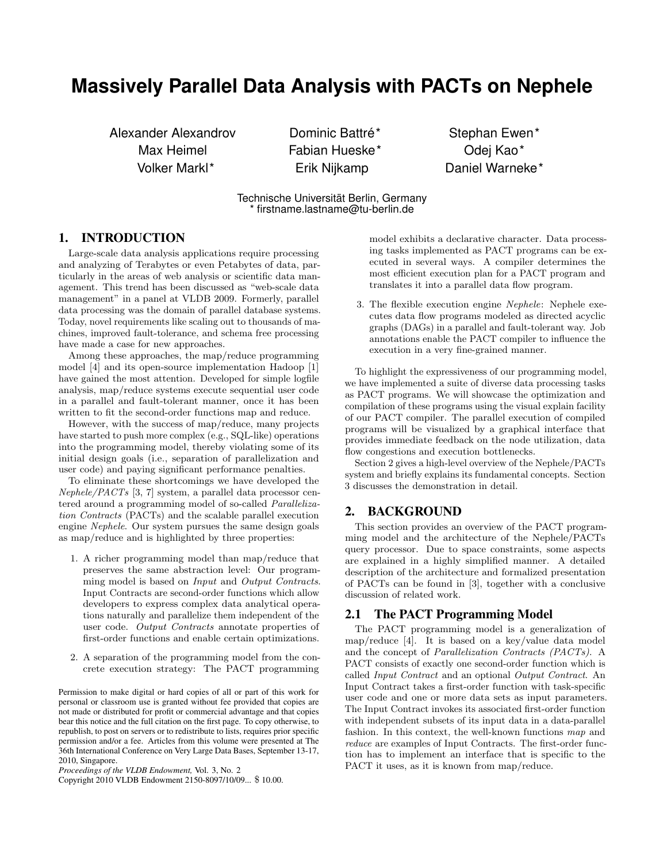# **Massively Parallel Data Analysis with PACTs on Nephele**

Alexander Alexandrov Dominic Battré\* Stephan Ewen\* Max Heimel **Fabian Hueske\*** Odej Kao\* Volker Markl<sup>\*</sup> Erik Nijkamp **Daniel Warneke** \*

Technische Universität Berlin, Germany \* firstname.lastname@tu-berlin.de

# 1. INTRODUCTION

Large-scale data analysis applications require processing and analyzing of Terabytes or even Petabytes of data, particularly in the areas of web analysis or scientific data management. This trend has been discussed as "web-scale data management" in a panel at VLDB 2009. Formerly, parallel data processing was the domain of parallel database systems. Today, novel requirements like scaling out to thousands of machines, improved fault-tolerance, and schema free processing have made a case for new approaches.

Among these approaches, the map/reduce programming model [4] and its open-source implementation Hadoop [1] have gained the most attention. Developed for simple logfile analysis, map/reduce systems execute sequential user code in a parallel and fault-tolerant manner, once it has been written to fit the second-order functions map and reduce.

However, with the success of map/reduce, many projects have started to push more complex (e.g., SQL-like) operations into the programming model, thereby violating some of its initial design goals (i.e., separation of parallelization and user code) and paying significant performance penalties.

To eliminate these shortcomings we have developed the Nephele/PACTs [3, 7] system, a parallel data processor centered around a programming model of so-called Parallelization Contracts (PACTs) and the scalable parallel execution engine Nephele. Our system pursues the same design goals as map/reduce and is highlighted by three properties:

- 1. A richer programming model than map/reduce that preserves the same abstraction level: Our programming model is based on Input and Output Contracts. Input Contracts are second-order functions which allow developers to express complex data analytical operations naturally and parallelize them independent of the user code. Output Contracts annotate properties of first-order functions and enable certain optimizations.
- 2. A separation of the programming model from the concrete execution strategy: The PACT programming

Permission to make digital or hard copies of all or part of this work for personal or classroom use is granted without fee provided that copies are not made or distributed for profit or commercial advantage and that copies bear this notice and the full citation on the first page. To copy otherwise, to republish, to post on servers or to redistribute to lists, requires prior specific permission and/or a fee. Articles from this volume were presented at The 36th International Conference on Very Large Data Bases, September 13-17, 2010, Singapore.

*Proceedings of the VLDB Endowment,* Vol. 3, No. 2

Copyright 2010 VLDB Endowment 2150-8097/10/09... \$ 10.00.

model exhibits a declarative character. Data processing tasks implemented as PACT programs can be executed in several ways. A compiler determines the most efficient execution plan for a PACT program and translates it into a parallel data flow program.

3. The flexible execution engine Nephele: Nephele executes data flow programs modeled as directed acyclic graphs (DAGs) in a parallel and fault-tolerant way. Job annotations enable the PACT compiler to influence the execution in a very fine-grained manner.

To highlight the expressiveness of our programming model, we have implemented a suite of diverse data processing tasks as PACT programs. We will showcase the optimization and compilation of these programs using the visual explain facility of our PACT compiler. The parallel execution of compiled programs will be visualized by a graphical interface that provides immediate feedback on the node utilization, data flow congestions and execution bottlenecks.

Section 2 gives a high-level overview of the Nephele/PACTs system and briefly explains its fundamental concepts. Section 3 discusses the demonstration in detail.

# 2. BACKGROUND

This section provides an overview of the PACT programming model and the architecture of the Nephele/PACTs query processor. Due to space constraints, some aspects are explained in a highly simplified manner. A detailed description of the architecture and formalized presentation of PACTs can be found in [3], together with a conclusive discussion of related work.

#### 2.1 The PACT Programming Model

The PACT programming model is a generalization of map/reduce [4]. It is based on a key/value data model and the concept of Parallelization Contracts (PACTs). A PACT consists of exactly one second-order function which is called Input Contract and an optional Output Contract. An Input Contract takes a first-order function with task-specific user code and one or more data sets as input parameters. The Input Contract invokes its associated first-order function with independent subsets of its input data in a data-parallel fashion. In this context, the well-known functions map and reduce are examples of Input Contracts. The first-order function has to implement an interface that is specific to the PACT it uses, as it is known from map/reduce.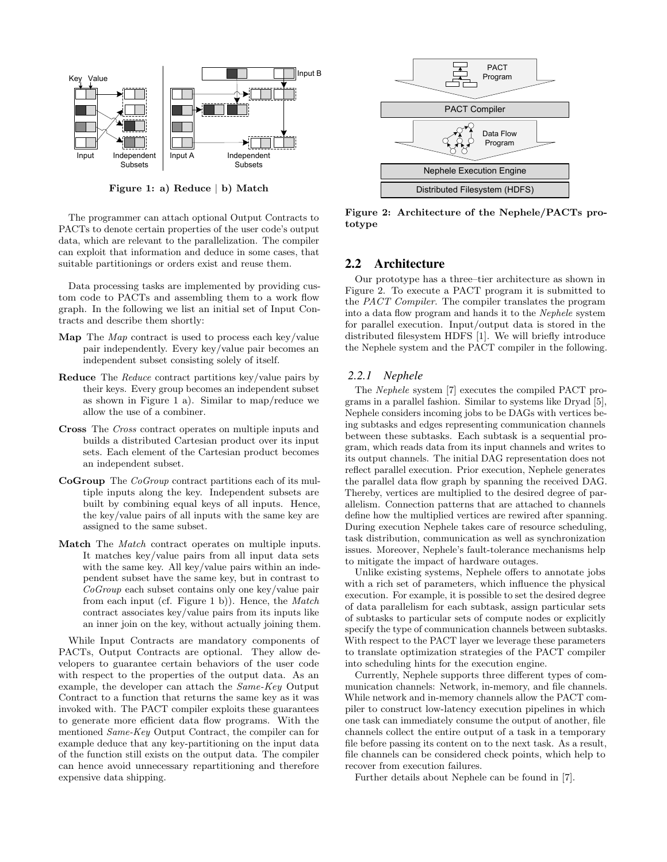

Figure 1: a) Reduce | b) Match

The programmer can attach optional Output Contracts to PACTs to denote certain properties of the user code's output data, which are relevant to the parallelization. The compiler can exploit that information and deduce in some cases, that suitable partitionings or orders exist and reuse them.

Data processing tasks are implemented by providing custom code to PACTs and assembling them to a work flow graph. In the following we list an initial set of Input Contracts and describe them shortly:

- Map The *Map* contract is used to process each key/value pair independently. Every key/value pair becomes an independent subset consisting solely of itself.
- Reduce The Reduce contract partitions key/value pairs by their keys. Every group becomes an independent subset as shown in Figure 1 a). Similar to map/reduce we allow the use of a combiner.
- Cross The Cross contract operates on multiple inputs and builds a distributed Cartesian product over its input sets. Each element of the Cartesian product becomes an independent subset.
- CoGroup The CoGroup contract partitions each of its multiple inputs along the key. Independent subsets are built by combining equal keys of all inputs. Hence, the key/value pairs of all inputs with the same key are assigned to the same subset.
- Match The Match contract operates on multiple inputs. It matches key/value pairs from all input data sets with the same key. All key/value pairs within an independent subset have the same key, but in contrast to CoGroup each subset contains only one key/value pair from each input (cf. Figure 1 b)). Hence, the Match contract associates key/value pairs from its inputs like an inner join on the key, without actually joining them.

While Input Contracts are mandatory components of PACTs, Output Contracts are optional. They allow developers to guarantee certain behaviors of the user code with respect to the properties of the output data. As an example, the developer can attach the Same-Key Output Contract to a function that returns the same key as it was invoked with. The PACT compiler exploits these guarantees to generate more efficient data flow programs. With the mentioned Same-Key Output Contract, the compiler can for example deduce that any key-partitioning on the input data of the function still exists on the output data. The compiler can hence avoid unnecessary repartitioning and therefore expensive data shipping.



Figure 2: Architecture of the Nephele/PACTs prototype

## 2.2 Architecture

Our prototype has a three–tier architecture as shown in Figure 2. To execute a PACT program it is submitted to the PACT Compiler. The compiler translates the program into a data flow program and hands it to the Nephele system for parallel execution. Input/output data is stored in the distributed filesystem HDFS [1]. We will briefly introduce the Nephele system and the PACT compiler in the following.

#### *2.2.1 Nephele*

The Nephele system [7] executes the compiled PACT programs in a parallel fashion. Similar to systems like Dryad [5], Nephele considers incoming jobs to be DAGs with vertices being subtasks and edges representing communication channels between these subtasks. Each subtask is a sequential program, which reads data from its input channels and writes to its output channels. The initial DAG representation does not reflect parallel execution. Prior execution, Nephele generates the parallel data flow graph by spanning the received DAG. Thereby, vertices are multiplied to the desired degree of parallelism. Connection patterns that are attached to channels define how the multiplied vertices are rewired after spanning. During execution Nephele takes care of resource scheduling, task distribution, communication as well as synchronization issues. Moreover, Nephele's fault-tolerance mechanisms help to mitigate the impact of hardware outages.

Unlike existing systems, Nephele offers to annotate jobs with a rich set of parameters, which influence the physical execution. For example, it is possible to set the desired degree of data parallelism for each subtask, assign particular sets of subtasks to particular sets of compute nodes or explicitly specify the type of communication channels between subtasks. With respect to the PACT layer we leverage these parameters to translate optimization strategies of the PACT compiler into scheduling hints for the execution engine.

Currently, Nephele supports three different types of communication channels: Network, in-memory, and file channels. While network and in-memory channels allow the PACT compiler to construct low-latency execution pipelines in which one task can immediately consume the output of another, file channels collect the entire output of a task in a temporary file before passing its content on to the next task. As a result, file channels can be considered check points, which help to recover from execution failures.

Further details about Nephele can be found in [7].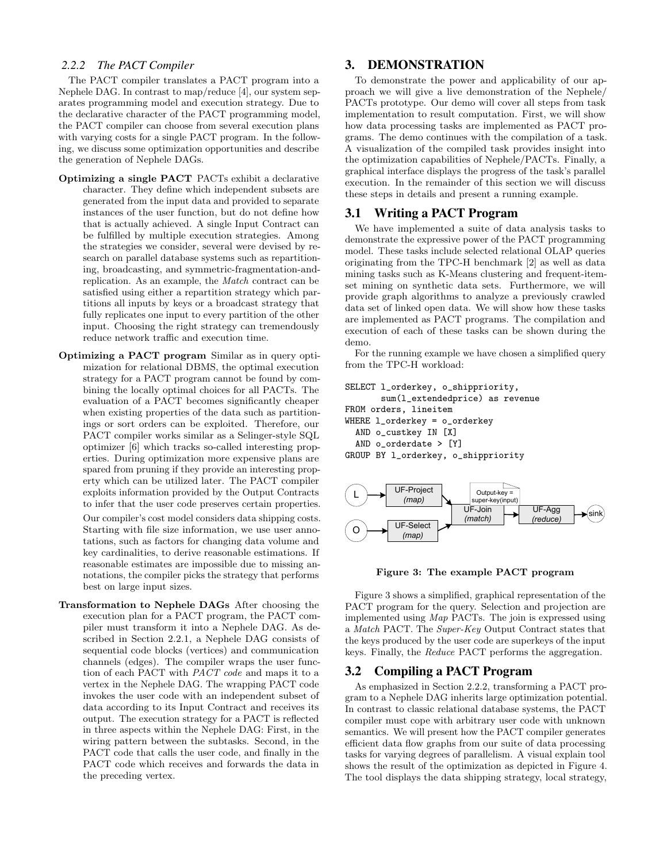#### *2.2.2 The PACT Compiler*

The PACT compiler translates a PACT program into a Nephele DAG. In contrast to map/reduce [4], our system separates programming model and execution strategy. Due to the declarative character of the PACT programming model, the PACT compiler can choose from several execution plans with varying costs for a single PACT program. In the following, we discuss some optimization opportunities and describe the generation of Nephele DAGs.

- Optimizing a single PACT PACTs exhibit a declarative character. They define which independent subsets are generated from the input data and provided to separate instances of the user function, but do not define how that is actually achieved. A single Input Contract can be fulfilled by multiple execution strategies. Among the strategies we consider, several were devised by research on parallel database systems such as repartitioning, broadcasting, and symmetric-fragmentation-andreplication. As an example, the Match contract can be satisfied using either a repartition strategy which partitions all inputs by keys or a broadcast strategy that fully replicates one input to every partition of the other input. Choosing the right strategy can tremendously reduce network traffic and execution time.
- Optimizing a PACT program Similar as in query optimization for relational DBMS, the optimal execution strategy for a PACT program cannot be found by combining the locally optimal choices for all PACTs. The evaluation of a PACT becomes significantly cheaper when existing properties of the data such as partitionings or sort orders can be exploited. Therefore, our PACT compiler works similar as a Selinger-style SQL optimizer [6] which tracks so-called interesting properties. During optimization more expensive plans are spared from pruning if they provide an interesting property which can be utilized later. The PACT compiler exploits information provided by the Output Contracts to infer that the user code preserves certain properties.

Our compiler's cost model considers data shipping costs. Starting with file size information, we use user annotations, such as factors for changing data volume and key cardinalities, to derive reasonable estimations. If reasonable estimates are impossible due to missing annotations, the compiler picks the strategy that performs best on large input sizes.

Transformation to Nephele DAGs After choosing the execution plan for a PACT program, the PACT compiler must transform it into a Nephele DAG. As described in Section 2.2.1, a Nephele DAG consists of sequential code blocks (vertices) and communication channels (edges). The compiler wraps the user function of each PACT with PACT code and maps it to a vertex in the Nephele DAG. The wrapping PACT code invokes the user code with an independent subset of data according to its Input Contract and receives its output. The execution strategy for a PACT is reflected in three aspects within the Nephele DAG: First, in the wiring pattern between the subtasks. Second, in the PACT code that calls the user code, and finally in the PACT code which receives and forwards the data in the preceding vertex.

# 3. DEMONSTRATION

To demonstrate the power and applicability of our approach we will give a live demonstration of the Nephele/ PACTs prototype. Our demo will cover all steps from task implementation to result computation. First, we will show how data processing tasks are implemented as PACT programs. The demo continues with the compilation of a task. A visualization of the compiled task provides insight into the optimization capabilities of Nephele/PACTs. Finally, a graphical interface displays the progress of the task's parallel execution. In the remainder of this section we will discuss these steps in details and present a running example.

# 3.1 Writing a PACT Program

We have implemented a suite of data analysis tasks to demonstrate the expressive power of the PACT programming model. These tasks include selected relational OLAP queries originating from the TPC-H benchmark [2] as well as data mining tasks such as K-Means clustering and frequent-itemset mining on synthetic data sets. Furthermore, we will provide graph algorithms to analyze a previously crawled data set of linked open data. We will show how these tasks are implemented as PACT programs. The compilation and execution of each of these tasks can be shown during the demo.

For the running example we have chosen a simplified query from the TPC-H workload:

```
SELECT l_orderkey, o_shippriority,
       sum(l_extendedprice) as revenue
FROM orders, lineitem
WHERE l_orderkey = o_orderkey
  AND o_custkey IN [X]
  AND o_orderdate > [Y]
GROUP BY l_orderkey, o_shippriority
```


Figure 3: The example PACT program

Figure 3 shows a simplified, graphical representation of the PACT program for the query. Selection and projection are implemented using Map PACTs. The join is expressed using a Match PACT. The Super-Key Output Contract states that the keys produced by the user code are superkeys of the input keys. Finally, the Reduce PACT performs the aggregation.

## 3.2 Compiling a PACT Program

As emphasized in Section 2.2.2, transforming a PACT program to a Nephele DAG inherits large optimization potential. In contrast to classic relational database systems, the PACT compiler must cope with arbitrary user code with unknown semantics. We will present how the PACT compiler generates efficient data flow graphs from our suite of data processing tasks for varying degrees of parallelism. A visual explain tool shows the result of the optimization as depicted in Figure 4. The tool displays the data shipping strategy, local strategy,